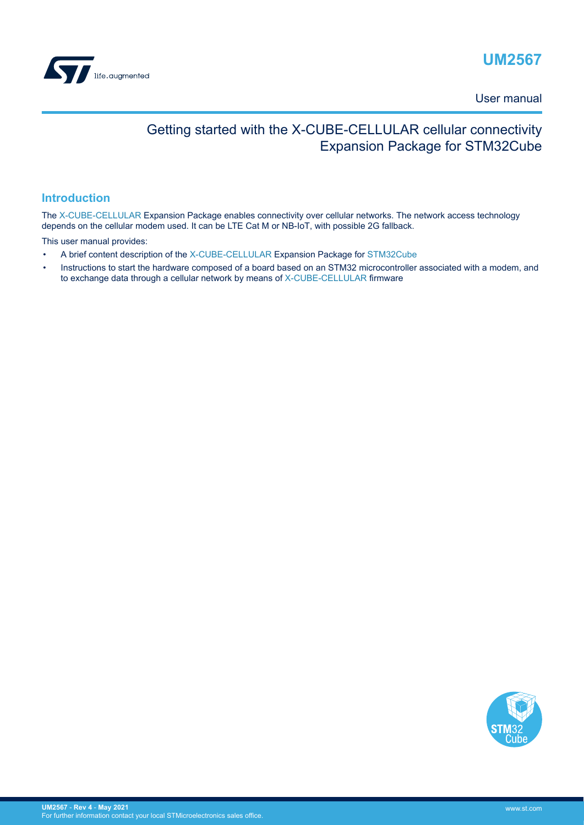<span id="page-0-0"></span>

User manual

# Getting started with the X-CUBE-CELLULAR cellular connectivity Expansion Package for STM32Cube

### **Introduction**

The [X-CUBE-CELLULAR](https://www.st.com/en/product/x-cube-cellular?ecmp=tt9470_gl_link_feb2019&rt=um&id=UM2567) Expansion Package enables connectivity over cellular networks. The network access technology depends on the cellular modem used. It can be LTE Cat M or NB-IoT, with possible 2G fallback.

This user manual provides:

- A brief content description of the [X-CUBE-CELLULAR](https://www.st.com/en/product/x-cube-cellular?ecmp=tt9470_gl_link_feb2019&rt=um&id=UM2567) Expansion Package for [STM32Cube](https://www.st.com/stm32cube)
- Instructions to start the hardware composed of a board based on an STM32 microcontroller associated with a modem, and to exchange data through a cellular network by means of [X-CUBE-CELLULAR](https://www.st.com/en/product/x-cube-cellular?ecmp=tt9470_gl_link_feb2019&rt=um&id=UM2567) firmware

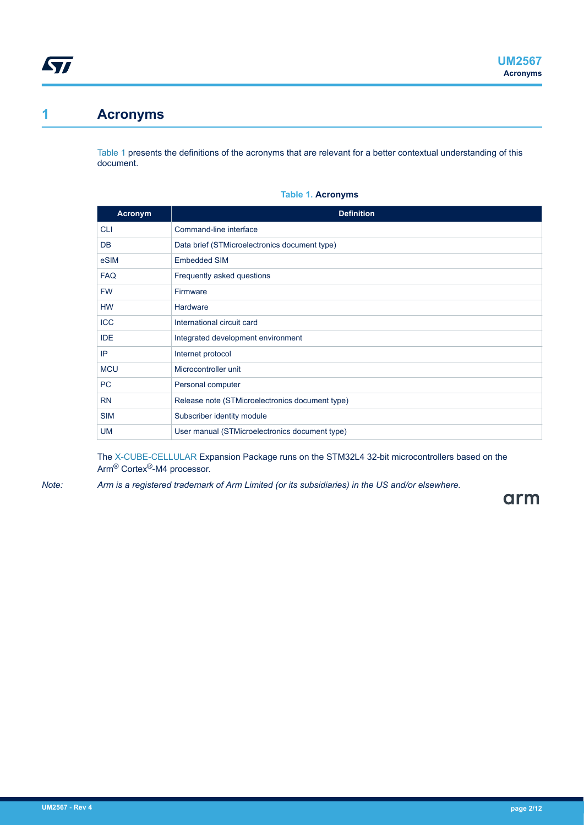# <span id="page-1-0"></span>**1 Acronyms**

Table 1 presents the definitions of the acronyms that are relevant for a better contextual understanding of this document.

#### **Table 1. Acronyms**

| <b>Acronym</b> | <b>Definition</b>                               |
|----------------|-------------------------------------------------|
| <b>CLI</b>     | Command-line interface                          |
| <b>DB</b>      | Data brief (STMicroelectronics document type)   |
| eSIM           | <b>Embedded SIM</b>                             |
| <b>FAQ</b>     | Frequently asked questions                      |
| <b>FW</b>      | Firmware                                        |
| <b>HW</b>      | Hardware                                        |
| <b>ICC</b>     | International circuit card                      |
| <b>IDE</b>     | Integrated development environment              |
| IP             | Internet protocol                               |
| <b>MCU</b>     | Microcontroller unit                            |
| PC             | Personal computer                               |
| <b>RN</b>      | Release note (STMicroelectronics document type) |
| <b>SIM</b>     | Subscriber identity module                      |
| <b>UM</b>      | User manual (STMicroelectronics document type)  |

The [X-CUBE-CELLULAR](https://www.st.com/en/product/x-cube-cellular?ecmp=tt9470_gl_link_feb2019&rt=um&id=UM2567) Expansion Package runs on the STM32L4 32-bit microcontrollers based on the Arm® Cortex®-M4 processor.

*Note: Arm is a registered trademark of Arm Limited (or its subsidiaries) in the US and/or elsewhere.*

arm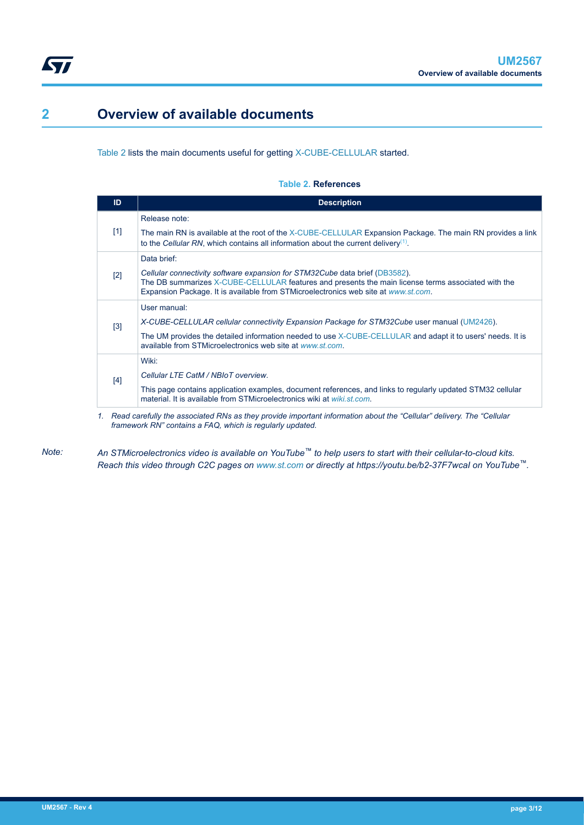# <span id="page-2-0"></span>**2 Overview of available documents**

Table 2 lists the main documents useful for getting [X-CUBE-CELLULAR](https://www.st.com/en/product/x-cube-cellular?ecmp=tt9470_gl_link_feb2019&rt=um&id=UM2567) started.

#### **Table 2. References**

| ID    | <b>Description</b>                                                                                                                                                                                                                                                      |
|-------|-------------------------------------------------------------------------------------------------------------------------------------------------------------------------------------------------------------------------------------------------------------------------|
| $[1]$ | Release note:                                                                                                                                                                                                                                                           |
|       | The main RN is available at the root of the X-CUBE-CELLULAR Expansion Package. The main RN provides a link<br>to the Cellular RN, which contains all information about the current delivery <sup>(1)</sup> .                                                            |
| [2]   | Data brief:                                                                                                                                                                                                                                                             |
|       | Cellular connectivity software expansion for STM32Cube data brief (DB3582).<br>The DB summarizes X-CUBE-CELLULAR features and presents the main license terms associated with the<br>Expansion Package. It is available from STMicroelectronics web site at www.st.com. |
| [3]   | User manual:                                                                                                                                                                                                                                                            |
|       | X-CUBE-CELLULAR cellular connectivity Expansion Package for STM32Cube user manual (UM2426).                                                                                                                                                                             |
|       | The UM provides the detailed information needed to use X-CUBE-CELLULAR and adapt it to users' needs. It is<br>available from STMicroelectronics web site at www.st.com.                                                                                                 |
| [4]   | Wiki:                                                                                                                                                                                                                                                                   |
|       | Cellular LTE CatM / NBIoT overview.                                                                                                                                                                                                                                     |
|       | This page contains application examples, document references, and links to regularly updated STM32 cellular<br>material. It is available from STMicroelectronics wiki at wiki st com.                                                                                   |

*1. Read carefully the associated RNs as they provide important information about the "Cellular" delivery. The "Cellular framework RN" contains a FAQ, which is regularly updated.*

*Note: An STMicroelectronics video is available on YouTube™ to help users to start with their cellular-to-cloud kits. Reach this video through C2C pages on [www.st.com](https://www.st.com) or directly at https://youtu.be/b2-37F7wcaI on YouTube™.*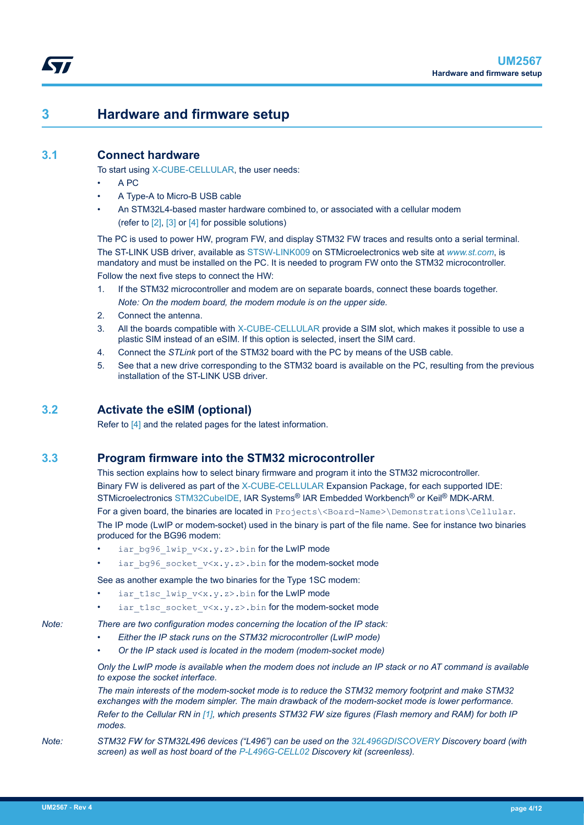## <span id="page-3-0"></span>**3 Hardware and firmware setup**

### **3.1 Connect hardware**

To start using [X-CUBE-CELLULAR,](https://www.st.com/en/product/x-cube-cellular?ecmp=tt9470_gl_link_feb2019&rt=um&id=UM2567) the user needs:

- A PC
- A Type-A to Micro-B USB cable
- An STM32L4-based master hardware combined to, or associated with a cellular modem (refer to [\[2\]](#page-2-0), [\[3\]](#page-2-0) or [\[4\]](#page-2-0) for possible solutions)

The PC is used to power HW, program FW, and display STM32 FW traces and results onto a serial terminal. The ST-LINK USB driver, available as [STSW-LINK009](https://www.st.com/en/product/stsw-link009?ecmp=tt9470_gl_link_feb2019&rt=um&id=UM2567) on STMicroelectronics web site at *[www.st.com](https://www.st.com)*, is mandatory and must be installed on the PC. It is needed to program FW onto the STM32 microcontroller. Follow the next five steps to connect the HW:

- 1. If the STM32 microcontroller and modem are on separate boards, connect these boards together. *Note: On the modem board, the modem module is on the upper side.*
- 2. Connect the antenna.
- 3. All the boards compatible with [X-CUBE-CELLULAR](https://www.st.com/en/product/x-cube-cellular?ecmp=tt9470_gl_link_feb2019&rt=um&id=UM2567) provide a SIM slot, which makes it possible to use a plastic SIM instead of an eSIM. If this option is selected, insert the SIM card.
- 4. Connect the *STLink* port of the STM32 board with the PC by means of the USB cable.
- 5. See that a new drive corresponding to the STM32 board is available on the PC, resulting from the previous installation of the ST-LINK USB driver.

### **3.2 Activate the eSIM (optional)**

Refer to [\[4\]](#page-2-0) and the related pages for the latest information.

## **3.3 Program firmware into the STM32 microcontroller**

This section explains how to select binary firmware and program it into the STM32 microcontroller. Binary FW is delivered as part of the [X-CUBE-CELLULAR](https://www.st.com/en/product/x-cube-cellular?ecmp=tt9470_gl_link_feb2019&rt=um&id=UM2567) Expansion Package, for each supported IDE: STMicroelectronics [STM32CubeIDE,](https://www.st.com/en/product/stm32cubeide?ecmp=tt9470_gl_link_feb2019&rt=um&id=UM2567) IAR Systems<sup>®</sup> IAR Embedded Workbench<sup>®</sup> or Keil<sup>®</sup> MDK-ARM. For a given board, the binaries are located in Projects\<Board-Name>\Demonstrations\Cellular.

The IP mode (LwIP or modem-socket) used in the binary is part of the file name. See for instance two binaries produced for the BG96 modem:

- iar bg96 lwip  $v \le x \cdot y \cdot z$ .bin for the LwIP mode
- iar bg96 socket  $v \le x. y. z$ ).bin for the modem-socket mode

See as another example the two binaries for the Type 1SC modem:

- iar tlsc lwip  $v \ll x.y.z>$ .bin for the LwIP mode
- iar tlsc socket  $v \le x. y. z$ .bin for the modem-socket mode

*Note: There are two configuration modes concerning the location of the IP stack:*

- *Either the IP stack runs on the STM32 microcontroller (LwIP mode)*
- *Or the IP stack used is located in the modem (modem-socket mode)*

*Only the LwIP mode is available when the modem does not include an IP stack or no AT command is available to expose the socket interface.*

*The main interests of the modem-socket mode is to reduce the STM32 memory footprint and make STM32 exchanges with the modem simpler. The main drawback of the modem-socket mode is lower performance. Refer to the Cellular RN in [\[1\],](#page-2-0) which presents STM32 FW size figures (Flash memory and RAM) for both IP modes.*

*Note: STM32 FW for STM32L496 devices ("L496") can be used on the [32L496GDISCOVERY](https://www.st.com/en/product/32L496GDISCOVERY?ecmp=tt9470_gl_link_feb2019&rt=um&id=UM2567) Discovery board (with screen) as well as host board of the [P-L496G-CELL02](https://www.st.com/en/product/p-l496g-cell02?ecmp=tt9470_gl_link_feb2019&rt=um&id=UM2567) Discovery kit (screenless).*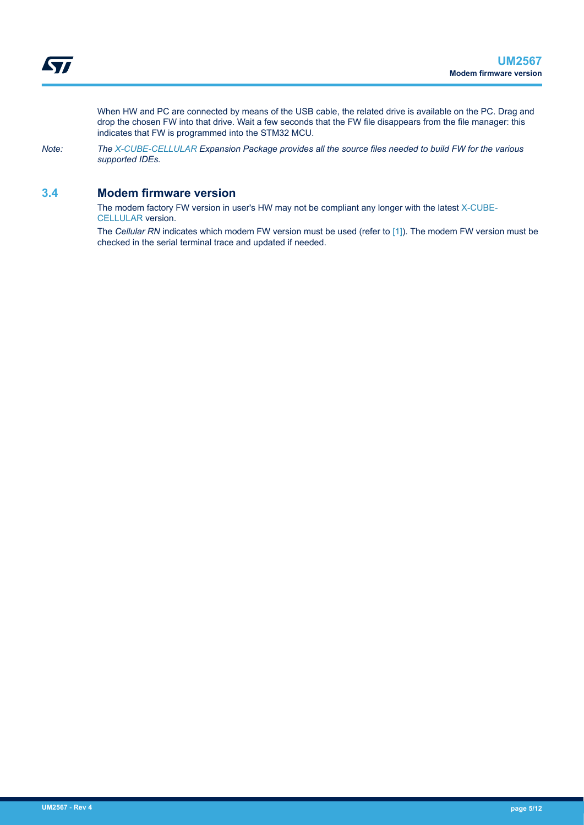<span id="page-4-0"></span>When HW and PC are connected by means of the USB cable, the related drive is available on the PC. Drag and drop the chosen FW into that drive. Wait a few seconds that the FW file disappears from the file manager: this indicates that FW is programmed into the STM32 MCU.

*Note: The [X-CUBE-CELLULAR](https://www.st.com/en/product/x-cube-cellular?ecmp=tt9470_gl_link_feb2019&rt=um&id=UM2567) Expansion Package provides all the source files needed to build FW for the various supported IDEs.*

### **3.4 Modem firmware version**

The modem factory FW version in user's HW may not be compliant any longer with the latest [X-CUBE-](https://www.st.com/en/product/x-cube-cellular?ecmp=tt9470_gl_link_feb2019&rt=um&id=UM2567)[CELLULAR](https://www.st.com/en/product/x-cube-cellular?ecmp=tt9470_gl_link_feb2019&rt=um&id=UM2567) version.

The *Cellular RN* indicates which modem FW version must be used (refer to [\[1\]](#page-2-0)). The modem FW version must be checked in the serial terminal trace and updated if needed.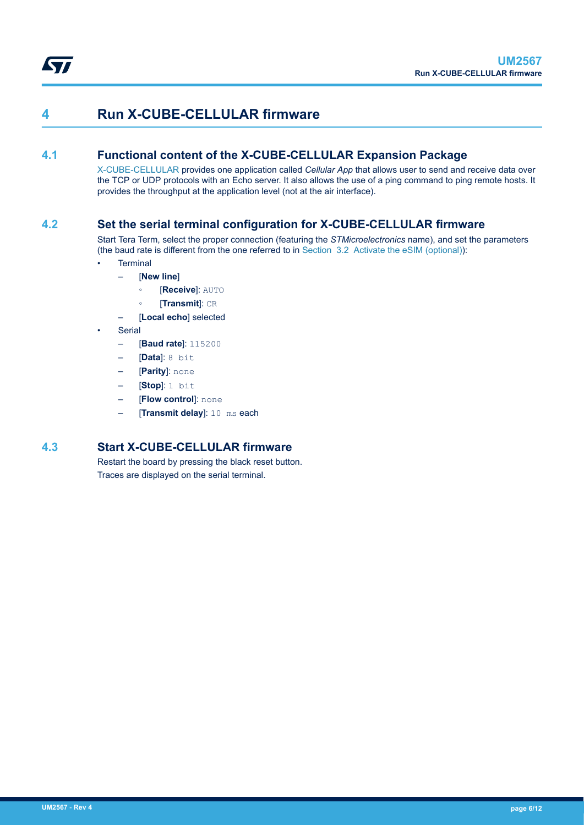<span id="page-5-0"></span>

## **4 Run X-CUBE-CELLULAR firmware**

### **4.1 Functional content of the X-CUBE-CELLULAR Expansion Package**

[X-CUBE-CELLULAR](https://www.st.com/en/product/x-cube-cellular?ecmp=tt9470_gl_link_feb2019&rt=um&id=UM2567) provides one application called *Cellular App* that allows user to send and receive data over the TCP or UDP protocols with an Echo server. It also allows the use of a ping command to ping remote hosts. It provides the throughput at the application level (not at the air interface).

### **4.2 Set the serial terminal configuration for X-CUBE-CELLULAR firmware**

Start Tera Term, select the proper connection (featuring the *STMicroelectronics* name), and set the parameters (the baud rate is different from the one referred to in [Section 3.2 Activate the eSIM \(optional\)](#page-3-0)):

- **Terminal** 
	- [**New line**]
		- [**Receive**]: AUTO
		- [**Transmit**]: CR
	- [Local echo] selected
- **Serial** 
	- [**Baud rate**]: 115200
	- [**Data**]: 8 bit
	- [**Parity**]: none
	- [**Stop**]: 1 bit
	- **[Flow control]**: none
	- [**Transmit delay**]: 10 ms each

### **4.3 Start X-CUBE-CELLULAR firmware**

Restart the board by pressing the black reset button. Traces are displayed on the serial terminal.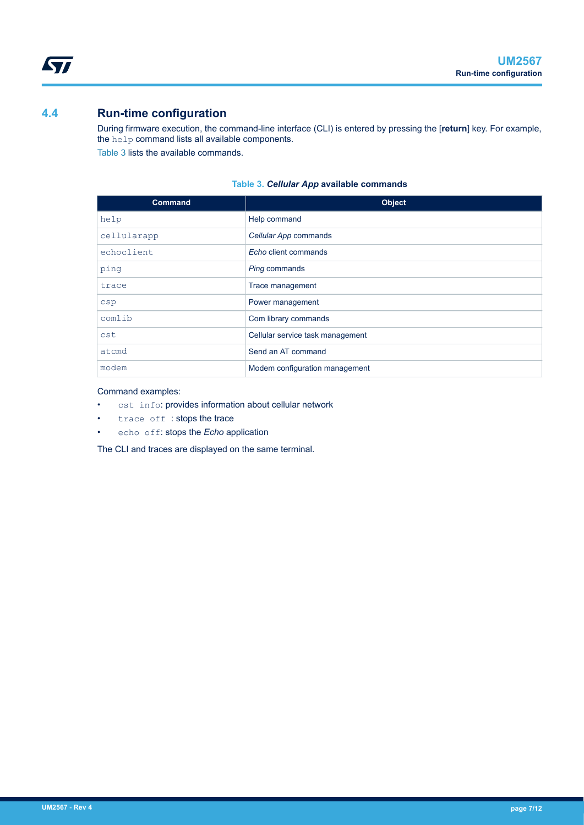## **4.4 Run-time configuration**

<span id="page-6-0"></span>ST

During firmware execution, the command-line interface (CLI) is entered by pressing the [**return**] key. For example, the help command lists all available components. Table 3 lists the available commands.

| <b>Command</b> | <b>Object</b>                    |
|----------------|----------------------------------|
| help           | Help command                     |
| cellularapp    | Cellular App commands            |
| echoclient     | Echo client commands             |
| ping           | Ping commands                    |
| trace          | Trace management                 |
| csp            | Power management                 |
| comlib         | Com library commands             |
| cst            | Cellular service task management |
| atcmd          | Send an AT command               |
| modem          | Modem configuration management   |

#### **Table 3.** *Cellular App* **available commands**

#### Command examples:

- cst info: provides information about cellular network
- trace off : stops the trace
- echo off: stops the *Echo* application

The CLI and traces are displayed on the same terminal.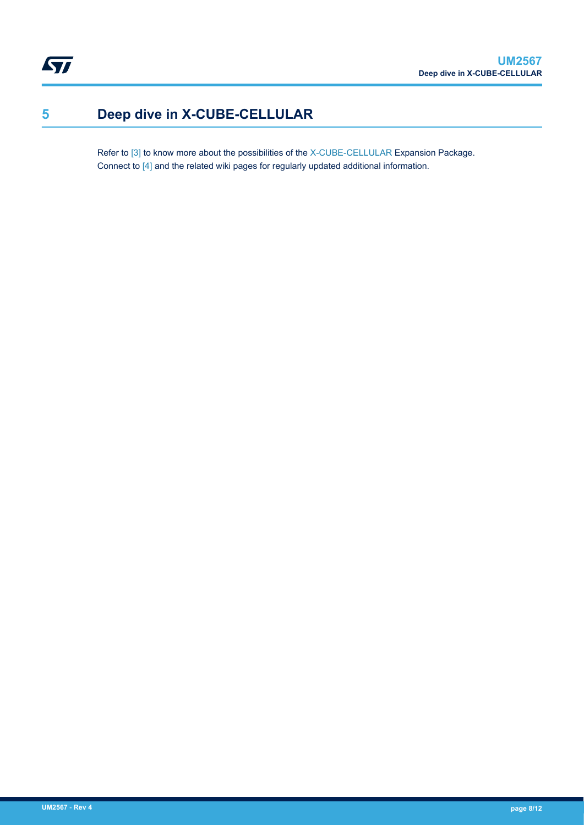# <span id="page-7-0"></span>**5 Deep dive in X-CUBE-CELLULAR**

Refer to [\[3\]](#page-2-0) to know more about the possibilities of the [X-CUBE-CELLULAR](https://www.st.com/en/product/x-cube-cellular?ecmp=tt9470_gl_link_feb2019&rt=um&id=UM2567) Expansion Package. Connect to [\[4\]](#page-2-0) and the related wiki pages for regularly updated additional information.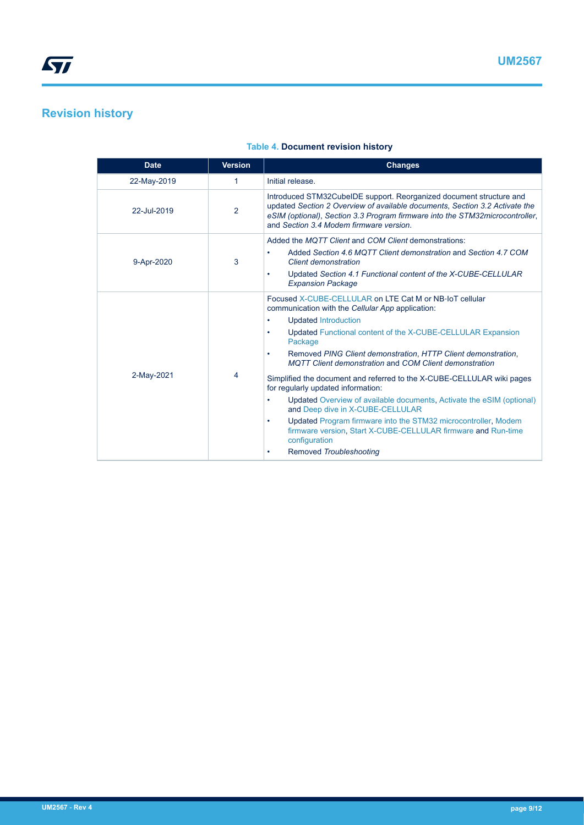# <span id="page-8-0"></span>**Revision history**

| <b>Date</b> | <b>Version</b> | <b>Changes</b>                                                                                                                                                                                                                                                                                                                                                                                                                                                                                                                                                                                                                                                                                                                                                   |
|-------------|----------------|------------------------------------------------------------------------------------------------------------------------------------------------------------------------------------------------------------------------------------------------------------------------------------------------------------------------------------------------------------------------------------------------------------------------------------------------------------------------------------------------------------------------------------------------------------------------------------------------------------------------------------------------------------------------------------------------------------------------------------------------------------------|
| 22-May-2019 | 1              | Initial release.                                                                                                                                                                                                                                                                                                                                                                                                                                                                                                                                                                                                                                                                                                                                                 |
| 22-Jul-2019 | $\overline{2}$ | Introduced STM32CubeIDE support. Reorganized document structure and<br>updated Section 2 Overview of available documents, Section 3.2 Activate the<br>eSIM (optional), Section 3.3 Program firmware into the STM32microcontroller,<br>and Section 3.4 Modem firmware version.                                                                                                                                                                                                                                                                                                                                                                                                                                                                                    |
| 9-Apr-2020  | 3              | Added the MQTT Client and COM Client demonstrations:<br>Added Section 4.6 MQTT Client demonstration and Section 4.7 COM<br>Client demonstration<br>Updated Section 4.1 Functional content of the X-CUBE-CELLULAR<br>٠<br><b>Expansion Package</b>                                                                                                                                                                                                                                                                                                                                                                                                                                                                                                                |
| 2-May-2021  | 4              | Focused X-CUBE-CELLULAR on LTE Cat M or NB-IoT cellular<br>communication with the Cellular App application:<br><b>Updated Introduction</b><br>٠<br>Updated Functional content of the X-CUBE-CELLULAR Expansion<br>٠<br>Package<br>Removed PING Client demonstration, HTTP Client demonstration,<br>٠<br><b>MQTT Client demonstration and COM Client demonstration</b><br>Simplified the document and referred to the X-CUBE-CELLULAR wiki pages<br>for regularly updated information:<br>Updated Overview of available documents, Activate the eSIM (optional)<br>٠<br>and Deep dive in X-CUBE-CELLULAR<br>Updated Program firmware into the STM32 microcontroller, Modem<br>٠<br>firmware version, Start X-CUBE-CELLULAR firmware and Run-time<br>configuration |
|             |                | Removed Troubleshooting<br>٠                                                                                                                                                                                                                                                                                                                                                                                                                                                                                                                                                                                                                                                                                                                                     |

#### **Table 4. Document revision history**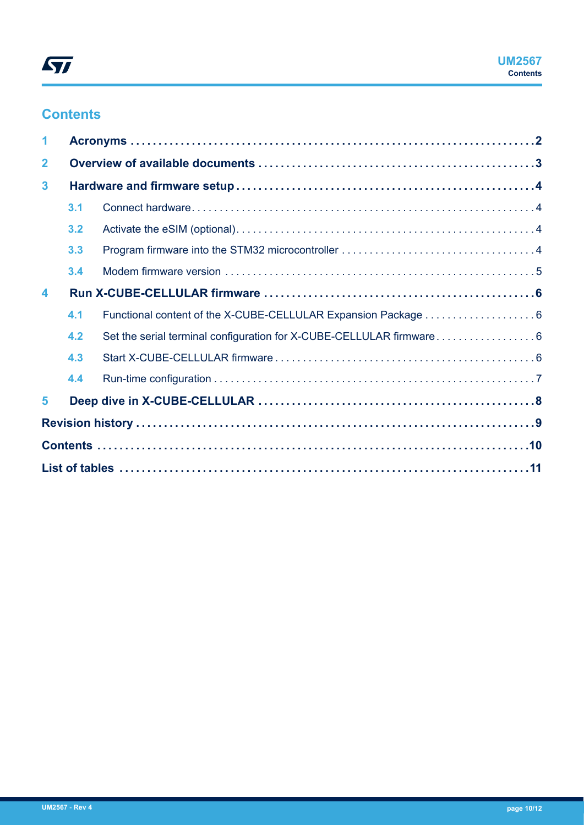# **Contents**

| 1                       |     |  |
|-------------------------|-----|--|
| $\mathbf{2}$            |     |  |
| $\mathbf{3}$            |     |  |
|                         | 3.1 |  |
|                         | 3.2 |  |
|                         | 3.3 |  |
|                         | 3.4 |  |
| $\overline{\mathbf{4}}$ |     |  |
|                         | 4.1 |  |
|                         | 4.2 |  |
|                         | 4.3 |  |
|                         | 4.4 |  |
| 5                       |     |  |
|                         |     |  |
|                         |     |  |
|                         |     |  |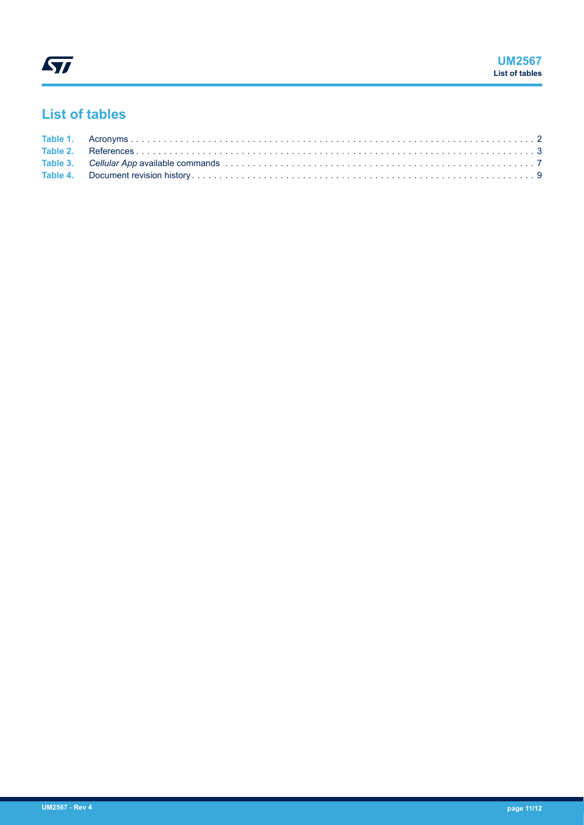# <span id="page-10-0"></span>**List of tables**